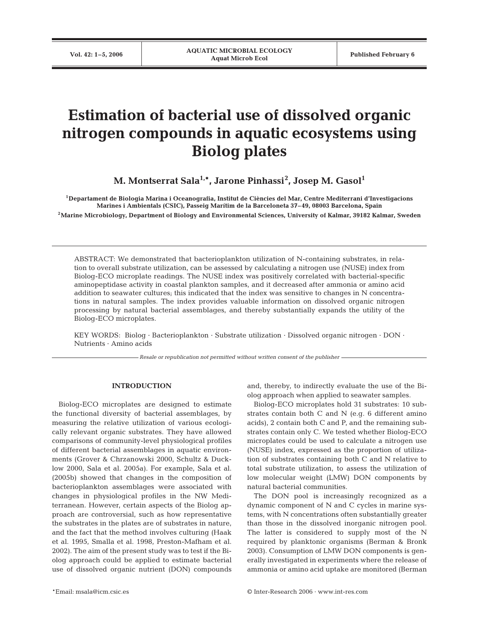# **Estimation of bacterial use of dissolved organic nitrogen compounds in aquatic ecosystems using Biolog plates**

**M. Montserrat Sala1,\*, Jarone Pinhassi2 , Josep M. Gasol1**

**1Departament de Biologia Marina i Oceanografia, Institut de Ciències del Mar, Centre Mediterrani d'Investigacions Marines i Ambientals (CSIC), Passeig Marítim de la Barceloneta 37–49, 08003 Barcelona, Spain 2Marine Microbiology, Department of Biology and Environmental Sciences, University of Kalmar, 39182 Kalmar, Sweden**

ABSTRACT: We demonstrated that bacterioplankton utilization of N-containing substrates, in relation to overall substrate utilization, can be assessed by calculating a nitrogen use (NUSE) index from Biolog-ECO microplate readings. The NUSE index was positively correlated with bacterial-specific aminopeptidase activity in coastal plankton samples, and it decreased after ammonia or amino acid addition to seawater cultures; this indicated that the index was sensitive to changes in N concentrations in natural samples. The index provides valuable information on dissolved organic nitrogen processing by natural bacterial assemblages, and thereby substantially expands the utility of the Biolog-ECO microplates.

KEY WORDS: Biolog · Bacterioplankton · Substrate utilization · Dissolved organic nitrogen · DON · Nutrients · Amino acids

*Resale or republication not permitted without written consent of the publisher*

## **INTRODUCTION**

Biolog-ECO microplates are designed to estimate the functional diversity of bacterial assemblages, by measuring the relative utilization of various ecologically relevant organic substrates. They have allowed comparisons of community-level physiological profiles of different bacterial assemblages in aquatic environments (Grover & Chrzanowski 2000, Schultz & Ducklow 2000, Sala et al. 2005a). For example, Sala et al. (2005b) showed that changes in the composition of bacterioplankton assemblages were associated with changes in physiological profiles in the NW Mediterranean. However, certain aspects of the Biolog approach are controversial, such as how representative the substrates in the plates are of substrates in nature, and the fact that the method involves culturing (Haak et al. 1995, Smalla et al. 1998, Preston-Mafham et al. 2002). The aim of the present study was to test if the Biolog approach could be applied to estimate bacterial use of dissolved organic nutrient (DON) compounds and, thereby, to indirectly evaluate the use of the Biolog approach when applied to seawater samples.

Biolog-ECO microplates hold 31 substrates: 10 substrates contain both C and N (e.g. 6 different amino acids), 2 contain both C and P, and the remaining substrates contain only C. We tested whether Biolog-ECO microplates could be used to calculate a nitrogen use (NUSE) index, expressed as the proportion of utilization of substrates containing both C and N relative to total substrate utilization, to assess the utilization of low molecular weight (LMW) DON components by natural bacterial communities.

The DON pool is increasingly recognized as a dynamic component of N and C cycles in marine systems, with N concentrations often substantially greater than those in the dissolved inorganic nitrogen pool. The latter is considered to supply most of the N required by planktonic organisms (Berman & Bronk 2003). Consumption of LMW DON components is generally investigated in experiments where the release of ammonia or amino acid uptake are monitored (Berman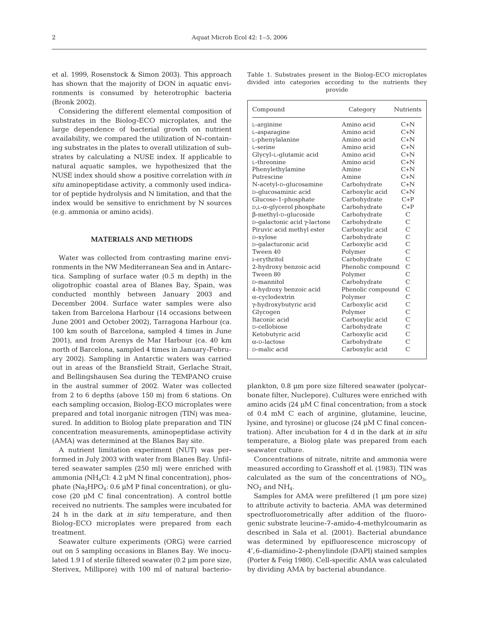et al. 1999, Rosenstock & Simon 2003). This approach has shown that the majority of DON in aquatic environments is consumed by heterotrophic bacteria (Bronk 2002).

Considering the different elemental composition of substrates in the Biolog-ECO microplates, and the large dependence of bacterial growth on nutrient availability, we compared the utilization of N-containing substrates in the plates to overall utilization of substrates by calculating a NUSE index. If applicable to natural aquatic samples, we hypothesized that the NUSE index should show a positive correlation with *in situ* aminopeptidase activity, a commonly used indicator of peptide hydrolysis and N limitation, and that the index would be sensitive to enrichment by N sources (e.g. ammonia or amino acids).

### **MATERIALS AND METHODS**

Water was collected from contrasting marine environments in the NW Mediterranean Sea and in Antarctica. Sampling of surface water (0.5 m depth) in the oligotrophic coastal area of Blanes Bay, Spain, was conducted monthly between January 2003 and December 2004. Surface water samples were also taken from Barcelona Harbour (14 occasions between June 2001 and October 2002), Tarragona Harbour (ca. 100 km south of Barcelona, sampled 4 times in June 2001), and from Arenys de Mar Harbour (ca. 40 km north of Barcelona, sampled 4 times in January-February 2002). Sampling in Antarctic waters was carried out in areas of the Bransfield Strait, Gerlache Strait, and Bellingshausen Sea during the TEMPANO cruise in the austral summer of 2002. Water was collected from 2 to 6 depths (above 150 m) from 6 stations. On each sampling occasion, Biolog-ECO microplates were prepared and total inorganic nitrogen (TIN) was measured. In addition to Biolog plate preparation and TIN concentration measurements, aminopeptidase activity (AMA) was determined at the Blanes Bay site.

A nutrient limitation experiment (NUT) was performed in July 2003 with water from Blanes Bay. Unfiltered seawater samples (250 ml) were enriched with ammonia (NH<sub>4</sub>Cl:  $4.2 \mu M$  N final concentration), phosphate (Na<sub>2</sub>HPO<sub>4</sub>: 0.6 µM P final concentration), or glucose (20 µM C final concentration). A control bottle received no nutrients. The samples were incubated for 24 h in the dark at *in situ* temperature, and then Biolog-ECO microplates were prepared from each treatment.

Seawater culture experiments (ORG) were carried out on 5 sampling occasions in Blanes Bay. We inoculated 1.9 l of sterile filtered seawater (0.2 µm pore size, Sterivex, Millipore) with 100 ml of natural bacterio-

|  | Table 1. Substrates present in the Biolog-ECO microplates |         |  |  |
|--|-----------------------------------------------------------|---------|--|--|
|  | divided into categories according to the nutrients they   |         |  |  |
|  |                                                           | provide |  |  |

| Compound                             | Category          | <b>Nutrients</b> |
|--------------------------------------|-------------------|------------------|
| L-arginine                           | Amino acid        | $C+N$            |
| L-asparagine                         | Amino acid        | $C+N$            |
| L-phenylalanine                      | Amino acid        | $C+N$            |
| L-serine                             | Amino acid        | $C+N$            |
| Glycyl-L-glutamic acid               | Amino acid        | $C+N$            |
| L-threonine                          | Amino acid        | $C+N$            |
| Phenylethylamine                     | Amine             | $C+N$            |
| Putrescine                           | Amine             | $C+N$            |
| N-acetyl-D-glucosamine               | Carbohydrate      | C+N              |
| D-glucosaminic acid                  | Carboxylic acid   | $C+N$            |
| Glucose-1-phosphate                  | Carbohydrate      | $C+P$            |
| $D,L$ - $\alpha$ -glycerol phosphate | Carbohydrate      | $C+P$            |
| $\beta$ -methyl-D-qlucoside          | Carbohydrate      | $\overline{C}$   |
| D-galactonic acid γ-lactone          | Carbohydrate      | Ċ                |
| Piruvic acid methyl ester            | Carboxylic acid   | Ċ                |
| D-xylose                             | Carbohydrate      | Ċ                |
| D-qalacturonic acid                  | Carboxylic acid   | $\overline{C}$   |
| Tween 40                             | Polymer           | $\overline{C}$   |
| i-erythritol                         | Carbohydrate      | $\overline{C}$   |
| 2-hydroxy benzoic acid               | Phenolic compound | $\overline{C}$   |
| Tween 80                             | Polymer           | Ċ                |
| D-mannitol                           | Carbohydrate      | $\overline{C}$   |
| 4-hydroxy benzoic acid               | Phenolic compound | Ċ                |
| $\alpha$ -cyclodextrin               | Polymer           | Ċ                |
| γ-hydroxybutyric acid                | Carboxylic acid   | Ċ                |
| Glycogen                             | Polymer           | $\overline{C}$   |
| Itaconic acid                        | Carboxylic acid   | Ċ                |
| D-cellobiose                         | Carbohydrate      | Ċ                |
| Ketobutyric acid                     | Carboxylic acid   | $\overline{C}$   |
| $\alpha$ -D-lactose                  | Carbohydrate      | $\overline{C}$   |
| D-malic acid                         | Carboxylic acid   | Ċ                |

plankton, 0.8 µm pore size filtered seawater (polycarbonate filter, Nuclepore). Cultures were enriched with amino acids (24 µM C final concentration; from a stock of 0.4 mM C each of arginine, glutamine, leucine, lysine, and tyrosine) or glucose (24 µM C final concentration). After incubation for 4 d in the dark at *in situ* temperature, a Biolog plate was prepared from each seawater culture.

Concentrations of nitrate, nitrite and ammonia were measured according to Grasshoff et al. (1983). TIN was calculated as the sum of the concentrations of  $NO<sub>3</sub>$ ,  $NO<sub>2</sub>$  and  $NH<sub>4</sub>$ .

Samples for AMA were prefiltered (1 µm pore size) to attribute activity to bacteria. AMA was determined spectrofluorometrically after addition of the fluorogenic substrate leucine-7-amido-4-methylcoumarin as described in Sala et al. (2001). Bacterial abundance was determined by epifluorescence microscopy of 4',6-diamidino-2-phenylindole (DAPI) stained samples (Porter & Feig 1980). Cell-specific AMA was calculated by dividing AMA by bacterial abundance.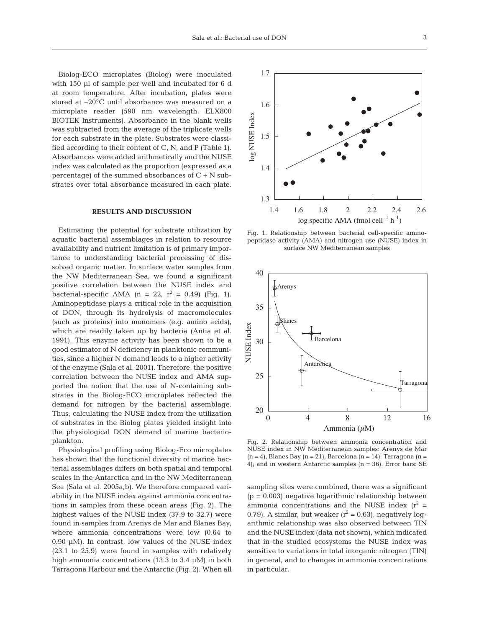Biolog-ECO microplates (Biolog) were inoculated with 150 µl of sample per well and incubated for 6 d at room temperature. After incubation, plates were stored at –20°C until absorbance was measured on a microplate reader (590 nm wavelength, ELX800 BIOTEK Instruments). Absorbance in the blank wells was subtracted from the average of the triplicate wells for each substrate in the plate. Substrates were classified according to their content of C, N, and P (Table 1). Absorbances were added arithmetically and the NUSE index was calculated as the proportion (expressed as a percentage) of the summed absorbances of  $C + N$  substrates over total absorbance measured in each plate.

### **RESULTS AND DISCUSSION**

Estimating the potential for substrate utilization by aquatic bacterial assemblages in relation to resource availability and nutrient limitation is of primary importance to understanding bacterial processing of dissolved organic matter. In surface water samples from the NW Mediterranean Sea, we found a significant positive correlation between the NUSE index and bacterial-specific AMA (n = 22,  $r^2 = 0.49$ ) (Fig. 1). Aminopeptidase plays a critical role in the acquisition of DON, through its hydrolysis of macromolecules (such as proteins) into monomers (e.g. amino acids), which are readily taken up by bacteria (Antia et al. 1991). This enzyme activity has been shown to be a good estimator of N deficiency in planktonic communities, since a higher N demand leads to a higher activity of the enzyme (Sala et al. 2001). Therefore, the positive correlation between the NUSE index and AMA supported the notion that the use of N-containing substrates in the Biolog-ECO microplates reflected the demand for nitrogen by the bacterial assemblage. Thus, calculating the NUSE index from the utilization of substrates in the Biolog plates yielded insight into the physiological DON demand of marine bacterioplankton.

Physiological profiling using Biolog-Eco microplates has shown that the functional diversity of marine bacterial assemblages differs on both spatial and temporal scales in the Antarctica and in the NW Mediterranean Sea (Sala et al. 2005a,b). We therefore compared variability in the NUSE index against ammonia concentrations in samples from these ocean areas (Fig. 2). The highest values of the NUSE index (37.9 to 32.7) were found in samples from Arenys de Mar and Blanes Bay, where ammonia concentrations were low (0.64 to 0.90 µM). In contrast, low values of the NUSE index (23.1 to 25.9) were found in samples with relatively high ammonia concentrations (13.3 to 3.4 µM) in both Tarragona Harbour and the Antarctic (Fig. 2). When all



Fig. 1. Relationship between bacterial cell-specific aminopeptidase activity (AMA) and nitrogen use (NUSE) index in surface NW Mediterranean samples



Fig. 2. Relationship between ammonia concentration and NUSE index in NW Mediterranean samples: Arenys de Mar  $(n = 4)$ , Blanes Bay  $(n = 21)$ , Barcelona  $(n = 14)$ , Tarragona  $(n = 14)$ 4); and in western Antarctic samples (n = 36). Error bars: SE

sampling sites were combined, there was a significant  $(p = 0.003)$  negative logarithmic relationship between ammonia concentrations and the NUSE index  $(r^2 =$ 0.79). A similar, but weaker  $(r^2 = 0.63)$ , negatively logarithmic relationship was also observed between TIN and the NUSE index (data not shown), which indicated that in the studied ecosystems the NUSE index was sensitive to variations in total inorganic nitrogen (TIN) in general, and to changes in ammonia concentrations in particular.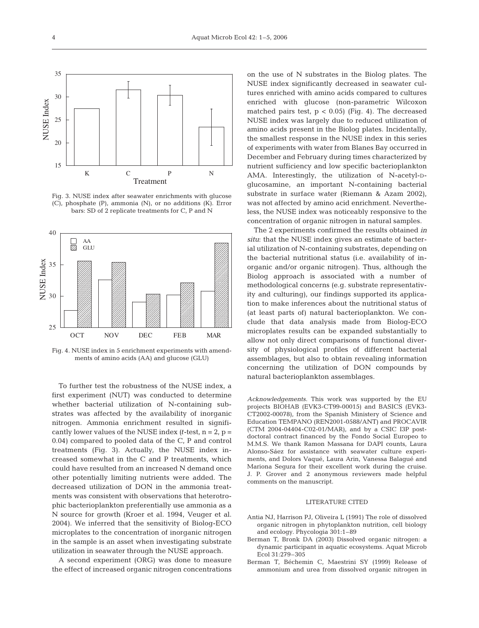

Fig. 3. NUSE index after seawater enrichments with glucose (C), phosphate (P), ammonia (N), or no additions (K). Error bars: SD of 2 replicate treatments for C, P and N



Fig. 4. NUSE index in 5 enrichment experiments with amendments of amino acids (AA) and glucose (GLU)

To further test the robustness of the NUSE index, a first experiment (NUT) was conducted to determine whether bacterial utilization of N-containing substrates was affected by the availability of inorganic nitrogen. Ammonia enrichment resulted in significantly lower values of the NUSE index  $(t$ -test,  $n = 2$ ,  $p =$ 0.04) compared to pooled data of the C, P and control treatments (Fig. 3). Actually, the NUSE index increased somewhat in the C and P treatments, which could have resulted from an increased N demand once other potentially limiting nutrients were added. The decreased utilization of DON in the ammonia treatments was consistent with observations that heterotrophic bacterioplankton preferentially use ammonia as a N source for growth (Kroer et al. 1994, Veuger et al. 2004). We inferred that the sensitivity of Biolog-ECO microplates to the concentration of inorganic nitrogen in the sample is an asset when investigating substrate utilization in seawater through the NUSE approach.

A second experiment (ORG) was done to measure the effect of increased organic nitrogen concentrations

on the use of N substrates in the Biolog plates. The NUSE index significantly decreased in seawater cultures enriched with amino acids compared to cultures enriched with glucose (non-parametric Wilcoxon matched pairs test,  $p < 0.05$ ) (Fig. 4). The decreased NUSE index was largely due to reduced utilization of amino acids present in the Biolog plates. Incidentally, the smallest response in the NUSE index in this series of experiments with water from Blanes Bay occurred in December and February during times characterized by nutrient sufficiency and low specific bacterioplankton AMA. Interestingly, the utilization of N-acetyl-Dglucosamine, an important N-containing bacterial substrate in surface water (Riemann & Azam 2002), was not affected by amino acid enrichment. Nevertheless, the NUSE index was noticeably responsive to the concentration of organic nitrogen in natural samples.

The 2 experiments confirmed the results obtained *in situ*: that the NUSE index gives an estimate of bacterial utilization of N-containing substrates, depending on the bacterial nutritional status (i.e. availability of inorganic and/or organic nitrogen). Thus, although the Biolog approach is associated with a number of methodological concerns (e.g. substrate representativity and culturing), our findings supported its application to make inferences about the nutritional status of (at least parts of) natural bacterioplankton. We conclude that data analysis made from Biolog-ECO microplates results can be expanded substantially to allow not only direct comparisons of functional diversity of physiological profiles of different bacterial assemblages, but also to obtain revealing information concerning the utilization of DON compounds by natural bacterioplankton assemblages.

*Acknowledgements.* This work was supported by the EU projects BIOHAB (EVK3-CT99-00015) and BASICS (EVK3- CT2002-00078), from the Spanish Ministery of Science and Education TEMPANO (REN2001-0588/ANT) and PROCAVIR (CTM 2004-04404-C02-01/MAR), and by a CSIC I3P postdoctoral contract financed by the Fondo Social Europeo to M.M.S. We thank Ramon Massana for DAPI counts, Laura Alonso-Sáez for assistance with seawater culture experiments, and Dolors Vaqué, Laura Arin, Vanessa Balagué and Mariona Segura for their excellent work during the cruise. J. P. Grover and 2 anonymous reviewers made helpful comments on the manuscript.

#### LITERATURE CITED

- Antia NJ, Harrison PJ, Oliveira L (1991) The role of dissolved organic nitrogen in phytoplankton nutrition, cell biology and ecology. Phycologia 301:1–89
- Berman T, Bronk DA (2003) Dissolved organic nitrogen: a dynamic participant in aquatic ecosystems. Aquat Microb Ecol 31:279–305
- Berman T, Béchemin C, Maestrini SY (1999) Release of ammonium and urea from dissolved organic nitrogen in